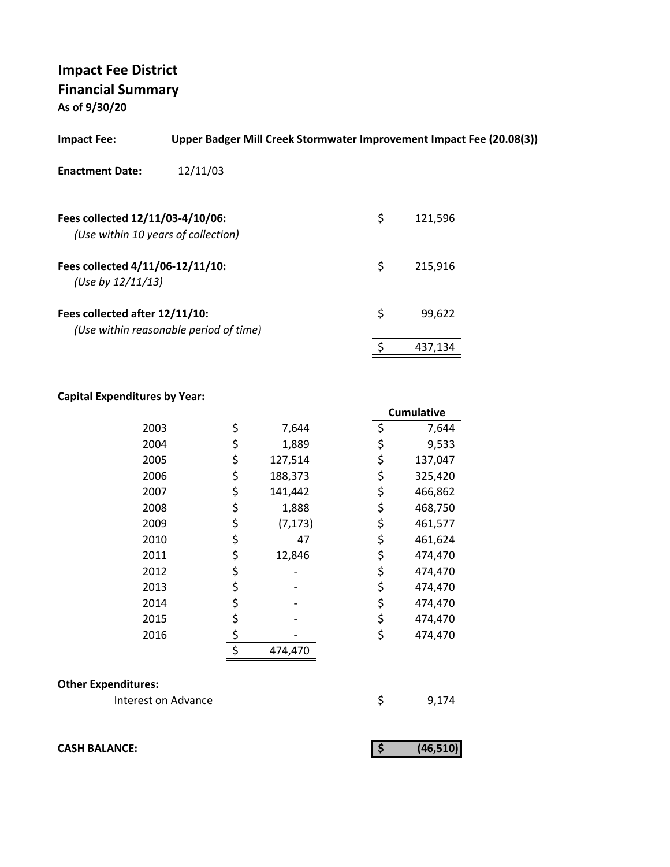**As of 9/30/20**

| <b>Impact Fee:</b>                                                      | Upper Badger Mill Creek Stormwater Improvement Impact Fee (20.08(3)) |               |  |
|-------------------------------------------------------------------------|----------------------------------------------------------------------|---------------|--|
| <b>Enactment Date:</b>                                                  | 12/11/03                                                             |               |  |
| Fees collected 12/11/03-4/10/06:<br>(Use within 10 years of collection) |                                                                      | \$<br>121,596 |  |
| Fees collected 4/11/06-12/11/10:<br>(Use by $12/11/13$ )                |                                                                      | \$<br>215,916 |  |
| Fees collected after 12/11/10:                                          | (Use within reasonable period of time)                               | \$<br>99.622  |  |
|                                                                         |                                                                      | \$<br>437,134 |  |

## **Capital Expenditures by Year:**

|      |                | <b>Cumulative</b> |
|------|----------------|-------------------|
| 2003 | \$<br>7,644    | \$<br>7,644       |
| 2004 | \$<br>1,889    | \$<br>9,533       |
| 2005 | \$<br>127,514  | \$<br>137,047     |
| 2006 | \$<br>188,373  | \$<br>325,420     |
| 2007 | \$<br>141,442  | \$<br>466,862     |
| 2008 | \$<br>1,888    | \$<br>468,750     |
| 2009 | \$<br>(7, 173) | \$<br>461,577     |
| 2010 | \$<br>47       | \$<br>461,624     |
| 2011 | \$<br>12,846   | \$<br>474,470     |
| 2012 | \$             | \$<br>474,470     |
| 2013 | \$             | \$<br>474,470     |
| 2014 | \$             | \$<br>474,470     |
| 2015 | \$             | \$<br>474,470     |
| 2016 | \$             | \$<br>474,470     |
|      | \$<br>474,470  |                   |

# **Other Expenditures:**

| Interest on Advance |  | 9,174 |
|---------------------|--|-------|
|---------------------|--|-------|

| <b>CASH BALANCE:</b> | (46, 510) |
|----------------------|-----------|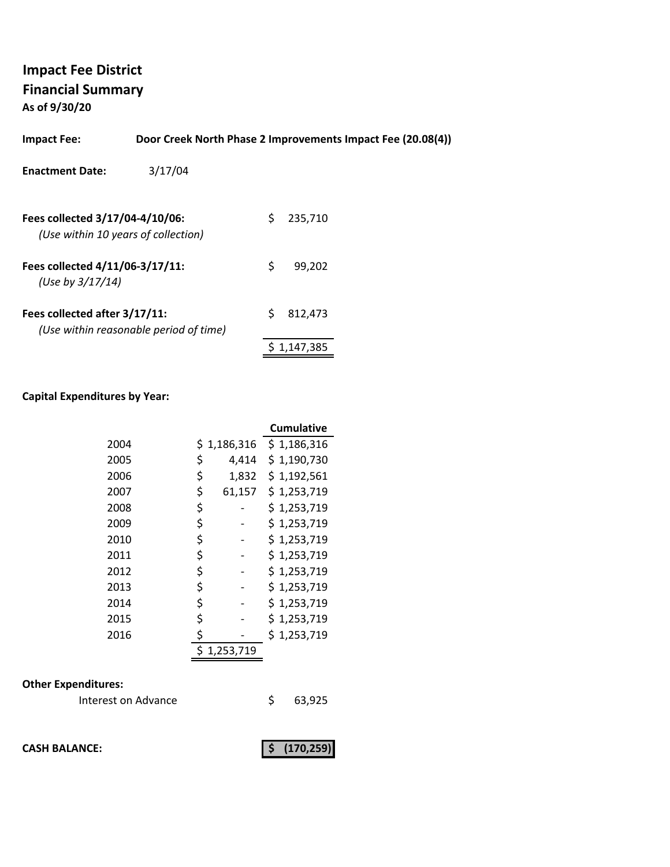**As of 9/30/20**

| <b>Impact Fee:</b>                                                     |                                        |    | Door Creek North Phase 2 Improvements Impact Fee (20.08(4)) |  |
|------------------------------------------------------------------------|----------------------------------------|----|-------------------------------------------------------------|--|
| <b>Enactment Date:</b>                                                 | 3/17/04                                |    |                                                             |  |
| Fees collected 3/17/04-4/10/06:<br>(Use within 10 years of collection) |                                        | Ś. | 235,710                                                     |  |
| Fees collected 4/11/06-3/17/11:<br>(Use by 3/17/14)                    |                                        | \$ | 99,202                                                      |  |
| Fees collected after 3/17/11:                                          | (Use within reasonable period of time) |    | 812,473                                                     |  |

# **Capital Expenditures by Year:**

|      |              | <b>Cumulative</b> |
|------|--------------|-------------------|
| 2004 | \$1,186,316  | \$1,186,316       |
| 2005 | \$<br>4,414  | \$1,190,730       |
| 2006 | \$<br>1,832  | \$1,192,561       |
| 2007 | \$<br>61,157 | \$1,253,719       |
| 2008 | \$           | \$1,253,719       |
| 2009 | \$           | \$1,253,719       |
| 2010 | \$           | \$1,253,719       |
| 2011 | \$           | \$1,253,719       |
| 2012 | \$           | \$1,253,719       |
| 2013 | \$           | \$1,253,719       |
| 2014 | \$           | \$1,253,719       |
| 2015 | \$           | \$1,253,719       |
| 2016 | \$           | \$1,253,719       |
|      | 1,253,719    |                   |

# **Other Expenditures:**

| Interest on Advance |  | 63,925 |
|---------------------|--|--------|
|---------------------|--|--------|

**CASH BALANCE: (170,259) \$** 

 $$ 1,147,385$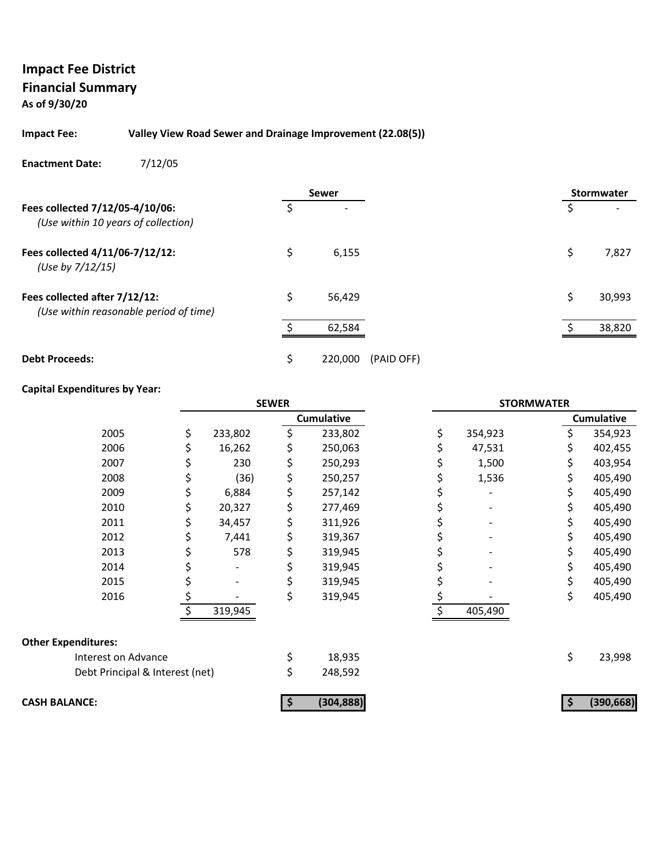# **As of 9/30/20**

#### **Impact Fee: Valley View Road Sewer and Drainage Improvement (22.08(5))**

#### **Enactment Date:** 7/12/05

|                                                                         |    | <b>Sewer</b>          |   | Stormwater |
|-------------------------------------------------------------------------|----|-----------------------|---|------------|
| Fees collected 7/12/05-4/10/06:<br>(Use within 10 years of collection)  | S  |                       | S |            |
| Fees collected 4/11/06-7/12/12:<br>(Use by 7/12/15)                     | \$ | 6,155                 | S | 7,827      |
| Fees collected after 7/12/12:<br>(Use within reasonable period of time) | Ś  | 56,429                |   | 30,993     |
|                                                                         |    | 62,584                |   | 38,820     |
| <b>Debt Proceeds:</b>                                                   | \$ | 220,000<br>(PAID OFF) |   |            |

#### **Capital Expenditures by Year:**

|                                 | <b>SEWER</b>  |    | <b>STORMWATER</b> |    |         |    |                   |
|---------------------------------|---------------|----|-------------------|----|---------|----|-------------------|
|                                 |               |    | <b>Cumulative</b> |    |         |    | <b>Cumulative</b> |
| 2005                            | \$<br>233,802 | \$ | 233,802           | \$ | 354,923 |    | 354,923           |
| 2006                            | 16,262        |    | 250,063           |    | 47,531  |    | 402,455           |
| 2007                            | 230           | \$ | 250,293           |    | 1,500   |    | 403,954           |
| 2008                            | (36)          | \$ | 250,257           |    | 1,536   | \$ | 405,490           |
| 2009                            | 6,884         | \$ | 257,142           |    |         | \$ | 405,490           |
| 2010                            | 20,327        | \$ | 277,469           |    |         |    | 405,490           |
| 2011                            | 34,457        | \$ | 311,926           |    |         |    | 405,490           |
| 2012                            | 7,441         | \$ | 319,367           |    |         |    | 405,490           |
| 2013                            | 578           | \$ | 319,945           |    |         |    | 405,490           |
| 2014                            |               |    | 319,945           |    |         |    | 405,490           |
| 2015                            |               |    | 319,945           |    |         |    | 405,490           |
| 2016                            |               | \$ | 319,945           |    |         | \$ | 405,490           |
|                                 | 319,945       |    |                   |    | 405,490 |    |                   |
| <b>Other Expenditures:</b>      |               |    |                   |    |         |    |                   |
| Interest on Advance             |               | \$ | 18,935            |    |         | \$ | 23,998            |
| Debt Principal & Interest (net) |               | \$ | 248,592           |    |         |    |                   |
| <b>CASH BALANCE:</b>            |               |    | (304, 888)        |    |         |    | (390, 668)        |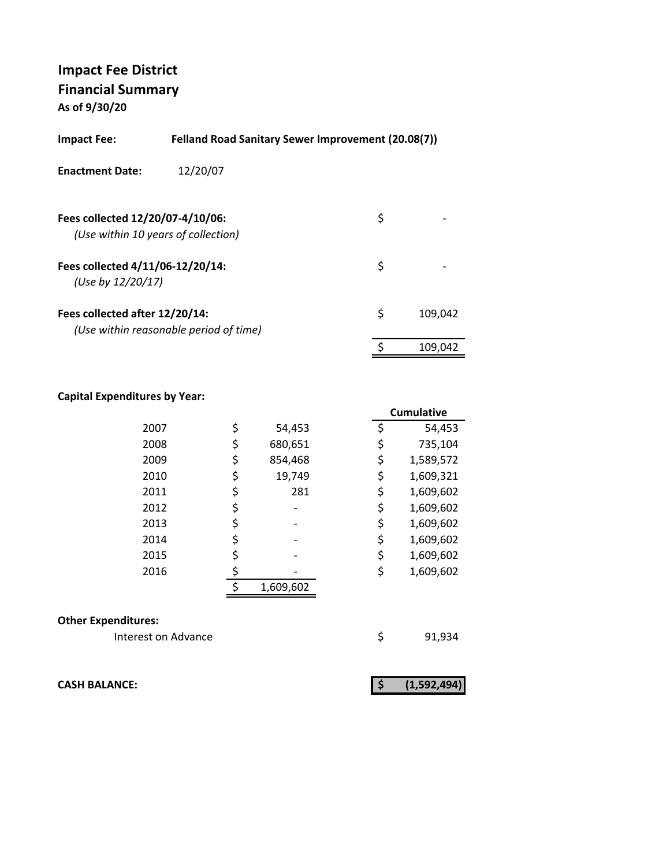**As of 9/30/20**

| <b>Impact Fee:</b>                                    | Felland Road Sanitary Sewer Improvement (20.08(7)) |    |         |  |  |
|-------------------------------------------------------|----------------------------------------------------|----|---------|--|--|
| <b>Enactment Date:</b>                                | 12/20/07                                           |    |         |  |  |
| Fees collected 12/20/07-4/10/06:                      | (Use within 10 years of collection)                | \$ |         |  |  |
| Fees collected 4/11/06-12/20/14:<br>(Use by 12/20/17) |                                                    | \$ |         |  |  |
| Fees collected after 12/20/14:                        | (Use within reasonable period of time)             | \$ | 109,042 |  |  |
|                                                       |                                                    | \$ | 109.042 |  |  |

#### **Capital Expenditures by Year:**

|      |    |           |    | Cumulative |
|------|----|-----------|----|------------|
| 2007 | \$ | 54,453    | \$ | 54,453     |
| 2008 | \$ | 680,651   | \$ | 735,104    |
| 2009 | \$ | 854,468   | \$ | 1,589,572  |
| 2010 | \$ | 19,749    | \$ | 1,609,321  |
| 2011 | \$ | 281       | \$ | 1,609,602  |
| 2012 | Ş  |           | \$ | 1,609,602  |
| 2013 | \$ |           | \$ | 1,609,602  |
| 2014 | \$ |           | \$ | 1,609,602  |
| 2015 |    |           | \$ | 1,609,602  |
| 2016 |    |           | \$ | 1,609,602  |
|      |    | 1,609,602 |    |            |
|      |    |           |    |            |

#### **Other Expenditures:**

Interest on Advance **1998** \$91,934

**CASH BALANCE: (1,592,494) \$**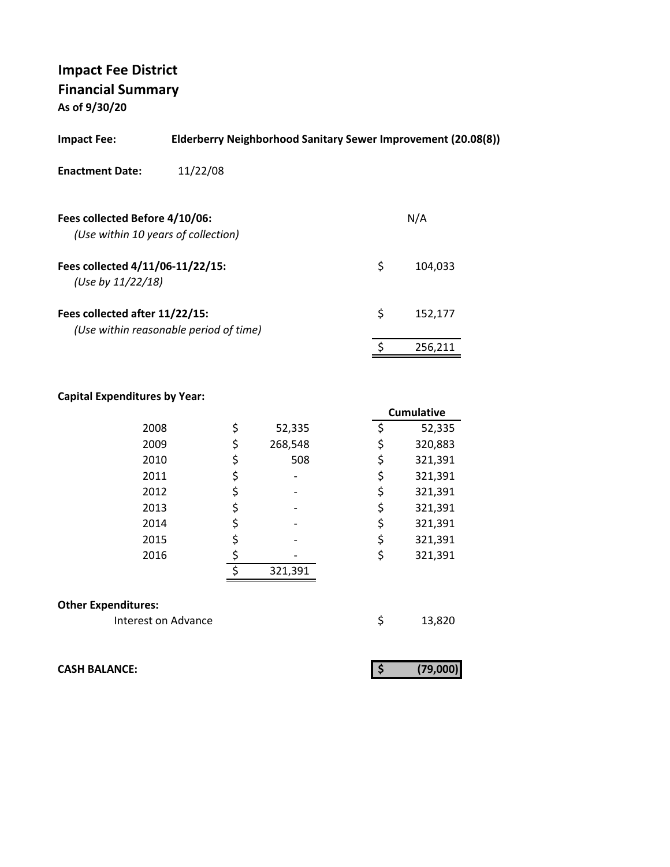**As of 9/30/20**

| <b>Impact Fee:</b>                                                    | Elderberry Neighborhood Sanitary Sewer Improvement (20.08(8)) |    |         |  |  |
|-----------------------------------------------------------------------|---------------------------------------------------------------|----|---------|--|--|
| <b>Enactment Date:</b>                                                | 11/22/08                                                      |    |         |  |  |
| Fees collected Before 4/10/06:<br>(Use within 10 years of collection) |                                                               |    | N/A     |  |  |
| Fees collected 4/11/06-11/22/15:<br>(Use by 11/22/18)                 |                                                               | \$ | 104,033 |  |  |
| Fees collected after 11/22/15:                                        | (Use within reasonable period of time)                        | \$ | 152,177 |  |  |
|                                                                       |                                                               |    | 256,211 |  |  |
|                                                                       |                                                               |    |         |  |  |

## **Capital Expenditures by Year:**

|                            |    |         | <b>Cumulative</b> |  |
|----------------------------|----|---------|-------------------|--|
| 2008                       | \$ | 52,335  | \$<br>52,335      |  |
| 2009                       | \$ | 268,548 | \$<br>320,883     |  |
| 2010                       | \$ | 508     | \$<br>321,391     |  |
| 2011                       | \$ |         | \$<br>321,391     |  |
| 2012                       | \$ |         | \$<br>321,391     |  |
| 2013                       | \$ |         | \$<br>321,391     |  |
| 2014                       | \$ |         | \$<br>321,391     |  |
| 2015                       | \$ |         | \$<br>321,391     |  |
| 2016                       | \$ |         | \$<br>321,391     |  |
|                            | ς  | 321,391 |                   |  |
| <b>Other Expenditures:</b> |    |         |                   |  |
| Interest on Advance        |    |         | \$<br>13,820      |  |

**CASH BALANCE: (79,000) \$** 

|--|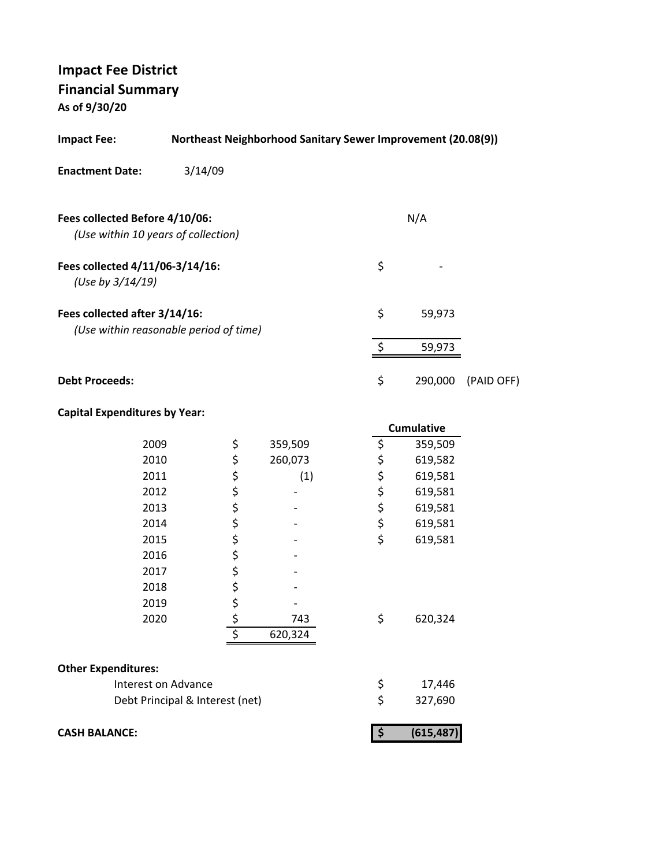**As of 9/30/20**

| <b>Impact Fee:</b>                                                      | <b>Northeast Neighborhood Sanitary Sewer Improvement (20.08(9))</b> |             |         |  |            |                   |            |
|-------------------------------------------------------------------------|---------------------------------------------------------------------|-------------|---------|--|------------|-------------------|------------|
| <b>Enactment Date:</b>                                                  | 3/14/09                                                             |             |         |  |            |                   |            |
| Fees collected Before 4/10/06:<br>(Use within 10 years of collection)   |                                                                     |             |         |  |            | N/A               |            |
| Fees collected 4/11/06-3/14/16:<br>(Use by 3/14/19)                     |                                                                     |             |         |  | \$         |                   |            |
| Fees collected after 3/14/16:<br>(Use within reasonable period of time) |                                                                     |             |         |  | \$         | 59,973            |            |
|                                                                         |                                                                     |             |         |  | \$         | 59,973            |            |
| <b>Debt Proceeds:</b>                                                   |                                                                     |             |         |  | \$         | 290,000           | (PAID OFF) |
| <b>Capital Expenditures by Year:</b>                                    |                                                                     |             |         |  |            |                   |            |
|                                                                         |                                                                     |             |         |  |            | <b>Cumulative</b> |            |
| 2009                                                                    |                                                                     | \$          | 359,509 |  | \$         | 359,509           |            |
| 2010                                                                    |                                                                     | ちちちち        | 260,073 |  | \$         | 619,582           |            |
| 2011                                                                    |                                                                     |             | (1)     |  | \$\$\$     | 619,581           |            |
| 2012                                                                    |                                                                     |             |         |  |            | 619,581           |            |
| 2013                                                                    |                                                                     |             |         |  |            | 619,581           |            |
| 2014                                                                    |                                                                     |             |         |  | \$<br>\$   | 619,581           |            |
| 2015<br>2016                                                            |                                                                     | \$ \$ \$ \$ |         |  |            | 619,581           |            |
| 2017                                                                    |                                                                     |             |         |  |            |                   |            |
| 2018                                                                    |                                                                     |             |         |  |            |                   |            |
| 2019                                                                    |                                                                     | \$          |         |  |            |                   |            |
| 2020                                                                    |                                                                     |             | 743     |  | \$         | 620,324           |            |
|                                                                         |                                                                     | \$<br>\$    | 620,324 |  |            |                   |            |
| <b>Other Expenditures:</b>                                              |                                                                     |             |         |  |            |                   |            |
| <b>Interest on Advance</b>                                              |                                                                     |             |         |  | \$         | 17,446            |            |
|                                                                         | Debt Principal & Interest (net)                                     |             |         |  | \$         | 327,690           |            |
|                                                                         |                                                                     |             |         |  |            |                   |            |
| <b>CASH BALANCE:</b>                                                    |                                                                     |             |         |  | $\sqrt{ }$ | (615, 487)        |            |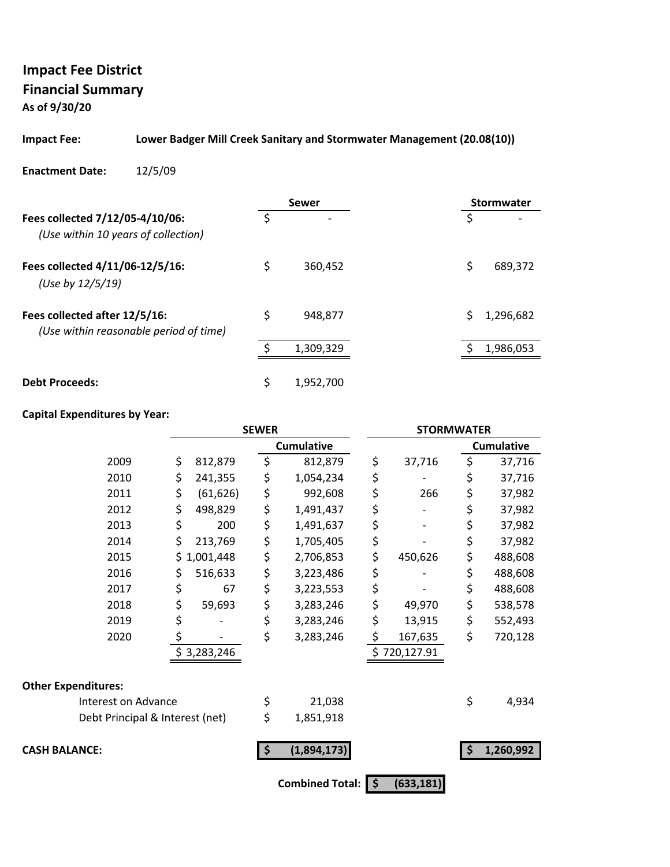**As of 9/30/20**

#### **Impact Fee: Lower Badger Mill Creek Sanitary and Stormwater Management (20.08(10))**

#### **Enactment Date:** 12/5/09

|                                                                         | <b>Sewer</b>    | <b>Stormwater</b> |
|-------------------------------------------------------------------------|-----------------|-------------------|
| Fees collected 7/12/05-4/10/06:<br>(Use within 10 years of collection)  |                 | ς                 |
| Fees collected 4/11/06-12/5/16:<br>(Use by 12/5/19)                     | \$<br>360,452   | \$<br>689,372     |
| Fees collected after 12/5/16:<br>(Use within reasonable period of time) | \$<br>948,877   | Ś<br>1,296,682    |
|                                                                         | 1,309,329       | 1,986,053         |
| <b>Debt Proceeds:</b>                                                   | \$<br>1,952,700 |                   |

#### **Capital Expenditures by Year:**

|                                 |     |             | <b>SEWER</b> |                        |                     |              | <b>STORMWATER</b> |                   |  |
|---------------------------------|-----|-------------|--------------|------------------------|---------------------|--------------|-------------------|-------------------|--|
|                                 |     |             |              | <b>Cumulative</b>      |                     |              |                   | <b>Cumulative</b> |  |
| 2009                            | \$  | 812,879     | \$           | 812,879                | \$                  | 37,716       | \$                | 37,716            |  |
| 2010                            | \$  | 241,355     | \$           | 1,054,234              | \$                  |              | \$                | 37,716            |  |
| 2011                            | \$  | (61, 626)   | \$           | 992,608                | \$                  | 266          | \$                | 37,982            |  |
| 2012                            | \$  | 498,829     | \$           | 1,491,437              | \$                  |              | \$                | 37,982            |  |
| 2013                            | \$  | 200         | \$           | 1,491,637              | \$                  |              | \$                | 37,982            |  |
| 2014                            | \$  | 213,769     | \$           | 1,705,405              | \$                  |              | \$                | 37,982            |  |
| 2015                            | \$. | 1,001,448   | \$           | 2,706,853              | \$                  | 450,626      | \$                | 488,608           |  |
| 2016                            | \$  | 516,633     | \$           | 3,223,486              | \$                  |              | \$                | 488,608           |  |
| 2017                            | \$  | 67          | \$           | 3,223,553              | \$                  |              | \$                | 488,608           |  |
| 2018                            | \$  | 59,693      | \$           | 3,283,246              | \$                  | 49,970       | \$                | 538,578           |  |
| 2019                            | \$  |             | \$           | 3,283,246              | \$                  | 13,915       | \$                | 552,493           |  |
| 2020                            | \$  |             | \$           | 3,283,246              | \$                  | 167,635      | \$                | 720,128           |  |
|                                 |     | \$3,283,246 |              |                        |                     | \$720,127.91 |                   |                   |  |
| <b>Other Expenditures:</b>      |     |             |              |                        |                     |              |                   |                   |  |
| Interest on Advance             |     |             | \$           | 21,038                 |                     |              | \$                | 4,934             |  |
| Debt Principal & Interest (net) |     |             | \$           | 1,851,918              |                     |              |                   |                   |  |
| <b>CASH BALANCE:</b>            |     |             | \$           | (1,894,173)            |                     |              | \$                | 1,260,992         |  |
|                                 |     |             |              | <b>Combined Total:</b> | $\ddot{\bm{\zeta}}$ | (633, 181)   |                   |                   |  |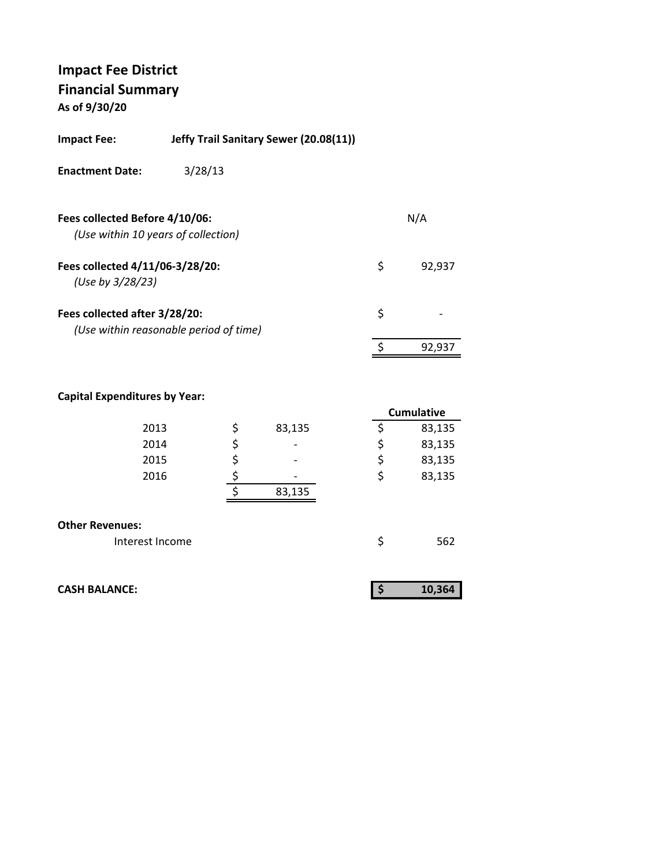**As of 9/30/20**

| <b>Impact Fee:</b>                                  | Jeffy Trail Sanitary Sewer (20.08(11)) |    |        |
|-----------------------------------------------------|----------------------------------------|----|--------|
| <b>Enactment Date:</b>                              | 3/28/13                                |    |        |
| Fees collected Before 4/10/06:                      | (Use within 10 years of collection)    |    | N/A    |
| Fees collected 4/11/06-3/28/20:<br>(Use by 3/28/23) |                                        | \$ | 92,937 |
| Fees collected after 3/28/20:                       | (Use within reasonable period of time) | \$ |        |
|                                                     |                                        | ς  | 92,937 |
|                                                     |                                        |    |        |

## **Capital Expenditures by Year:**

|                        |              |    | <b>Cumulative</b> |
|------------------------|--------------|----|-------------------|
| 2013                   | \$<br>83,135 |    | 83,135            |
| 2014                   | \$           | \$ | 83,135            |
| 2015                   | \$           | \$ | 83,135            |
| 2016                   |              | \$ | 83,135            |
|                        | 83,135       |    |                   |
|                        |              |    |                   |
| <b>Other Revenues:</b> |              |    |                   |
| Interest Income        |              | Ś  | 562               |

| <b>CASH BALANCE:</b> | 10,364 |
|----------------------|--------|
|                      |        |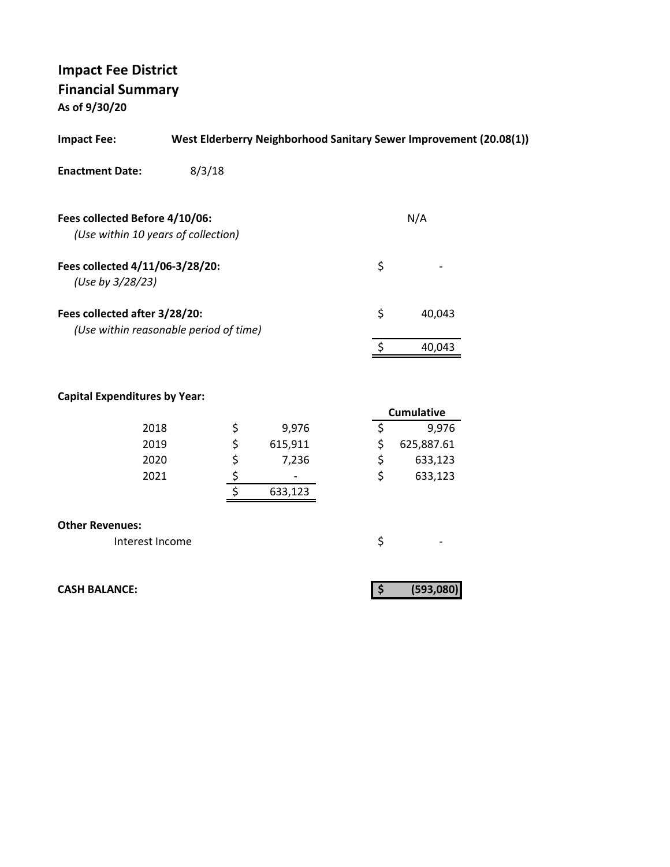**As of 9/30/20**

| <b>Impact Fee:</b>                                                      |        |             |         |    | West Elderberry Neighborhood Sanitary Sewer Improvement (20.08(1)) |  |
|-------------------------------------------------------------------------|--------|-------------|---------|----|--------------------------------------------------------------------|--|
| <b>Enactment Date:</b>                                                  | 8/3/18 |             |         |    |                                                                    |  |
|                                                                         |        |             |         |    |                                                                    |  |
| Fees collected Before 4/10/06:                                          |        |             |         |    | N/A                                                                |  |
| (Use within 10 years of collection)                                     |        |             |         |    |                                                                    |  |
| Fees collected 4/11/06-3/28/20:<br>(Use by 3/28/23)                     |        |             |         | \$ |                                                                    |  |
| Fees collected after 3/28/20:<br>(Use within reasonable period of time) |        |             |         | \$ | 40,043                                                             |  |
|                                                                         |        |             |         | \$ | 40,043                                                             |  |
| <b>Capital Expenditures by Year:</b>                                    |        |             |         |    | <b>Cumulative</b>                                                  |  |
| 2018                                                                    |        |             | 9,976   | \$ | 9,976                                                              |  |
| 2019                                                                    |        | <b>らららす</b> | 615,911 | \$ | 625,887.61                                                         |  |
| 2020                                                                    |        |             | 7,236   | \$ | 633,123                                                            |  |
| 2021                                                                    |        |             |         | \$ | 633,123                                                            |  |
|                                                                         |        |             | 633,123 |    |                                                                    |  |
| <b>Other Revenues:</b>                                                  |        |             |         |    |                                                                    |  |
| Interest Income                                                         |        |             |         | \$ |                                                                    |  |
| <b>CASH BALANCE:</b>                                                    |        |             |         | \$ | (593,080)                                                          |  |